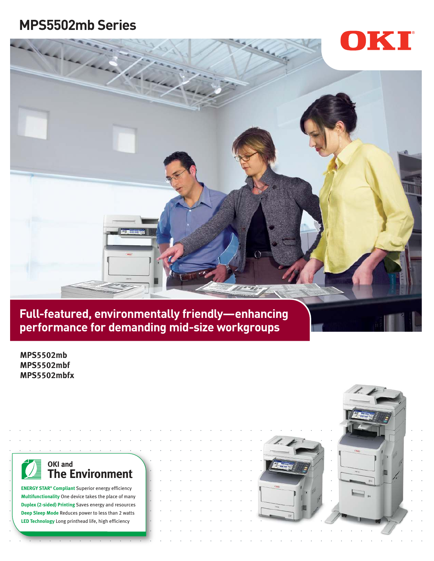# **MPS5502mb Series**





**performance for demanding mid-size workgroups**

**MPS5502mb MPS5502mbf MPS5502mbfx** 

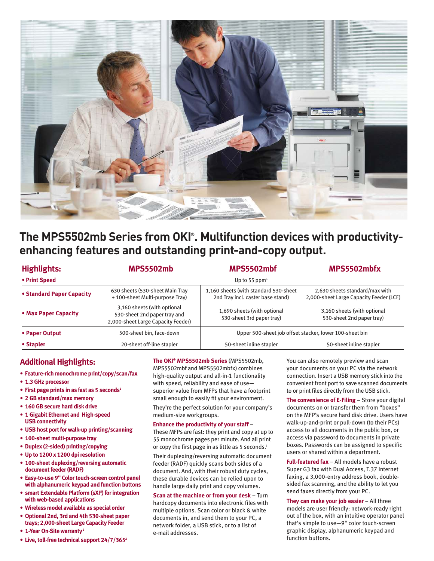

# **The MPS5502mb Series from OKI® . Multifunction devices with productivityenhancing features and outstanding print-and-copy output.**

| <b>Highlights:</b>        | <b>MPS5502mb</b>                                                                                  | MPS5502mbf                                                                 | MPS5502mbfx                                                               |
|---------------------------|---------------------------------------------------------------------------------------------------|----------------------------------------------------------------------------|---------------------------------------------------------------------------|
| • Print Speed             | Up to 55 ppm <sup>1</sup>                                                                         |                                                                            |                                                                           |
| • Standard Paper Capacity | 630 sheets (530-sheet Main Tray<br>+100-sheet Multi-purpose Tray)                                 | 1,160 sheets (with standard 530-sheet<br>2nd Tray incl. caster base stand) | 2,630 sheets standard/max with<br>2,000-sheet Large Capacity Feeder (LCF) |
| • Max Paper Capacity      | 3,160 sheets (with optional<br>530-sheet 2nd paper tray and<br>2,000-sheet Large Capacity Feeder) | 1,690 sheets (with optional<br>530-sheet 3rd paper tray)                   | 3,160 sheets (with optional<br>530-sheet 2nd paper tray)                  |
| • Paper Output            | 500-sheet bin, face-down                                                                          | Upper 500-sheet job offset stacker, lower 100-sheet bin                    |                                                                           |
| • Stapler                 | 20-sheet off-line stapler                                                                         | 50-sheet inline stapler                                                    | 50-sheet inline stapler                                                   |

# **Additional Highlights:**

- **• Feature-rich monochrome print/copy/scan/fax**
- **• 1.3 GHz processor**
- **• First page prints in as fast as 5 seconds<sup>1</sup>**
- **• 2 GB standard/max memory**
- **• 160 GB secure hard disk drive**
- **• 1 Gigabit Ethernet and High-speed USB connectivity**
- **• USB host port for walk-up printing/scanning**
- **• 100-sheet multi-purpose tray**
- **• Duplex (2-sided) printing/copying**
- **• Up to 1200 x 1200 dpi resolution**
- **• 100-sheet duplexing/reversing automatic document feeder (RADF)**
- **• Easy-to-use 9" Color touch-screen control panel with alphanumeric keypad and function buttons**
- **• smart Extendable Platform (sXP) for integration with web-based applications**
- **• Wireless model available as special order**
- **• Optional 2nd, 3rd and 4th 530-sheet paper trays; 2,000-sheet Large Capacity Feeder**
- **• 1-Year On-Site warranty<sup>2</sup>**
- **• Live, toll-free technical support 24/7/365<sup>2</sup>**

#### **The OKI® MPS5502mb Series** (MPS5502mb,

MPS5502mbf and MPS5502mbfx) combines high-quality output and all-in-1 functionality with speed, reliability and ease of use superior value from MFPs that have a footprint small enough to easily fit your environment.

They're the perfect solution for your company's medium-size workgroups.

#### **Enhance the productivity of your staff** –

These MFPs are fast: they print and copy at up to 55 monochrome pages per minute. And all print or copy the first page in as little as 5 seconds.<sup>1</sup>

Their duplexing/reversing automatic document feeder (RADF) quickly scans both sides of a document. And, with their robust duty cycles, these durable devices can be relied upon to handle large daily print and copy volumes.

**Scan at the machine or from your desk** – Turn hardcopy documents into electronic files with multiple options. Scan color or black & white documents in, and send them to your PC, a network folder, a USB stick, or to a list of e-mail addresses.

You can also remotely preview and scan your documents on your PC via the network connection. Insert a USB memory stick into the convenient front port to save scanned documents to or print files directly from the USB stick.

**The convenience of E-Filing** – Store your digital documents on or transfer them from "boxes" on the MFP's secure hard disk drive. Users have walk-up-and-print or pull-down (to their PCs) access to all documents in the public box, or access via password to documents in private boxes. Passwords can be assigned to specific users or shared within a department.

**Full-featured fax** – All models have a robust Super G3 fax with Dual Access, T.37 Internet faxing, a 3,000-entry address book, doublesided fax scanning, and the ability to let you send faxes directly from your PC.

**They can make your job easier** – All three models are user friendly: network-ready right out of the box, with an intuitive operator panel that's simple to use—9" color touch-screen graphic display, alphanumeric keypad and function buttons.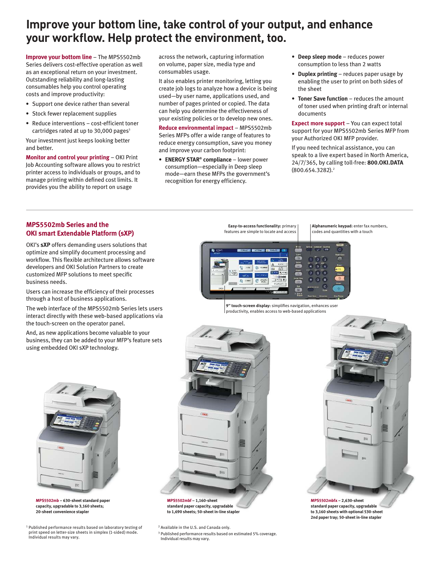# **Improve your bottom line, take control of your output, and enhance your workflow. Help protect the environment, too.**

**Improve your bottom line** – The MPS5502mb Series delivers cost-effective operation as well as an exceptional return on your investment. Outstanding reliability and long-lasting consumables help you control operating costs and improve productivity:

- Support one device rather than several
- Stock fewer replacement supplies
- Reduce interventions cost-efficient toner cartridges rated at up to  $30,000$  pages<sup>3</sup>

Your investment just keeps looking better and better.

**Monitor and control your printing** – OKI Print Job Accounting software allows you to restrict printer access to individuals or groups, and to manage printing within defined cost limits. It provides you the ability to report on usage

across the network, capturing information on volume, paper size, media type and consumables usage.

It also enables printer monitoring, letting you create job logs to analyze how a device is being used—by user name, applications used, and number of pages printed or copied. The data can help you determine the effectiveness of your existing policies or to develop new ones.

**Reduce environmental impact** – MPS5502mb Series MFPs offer a wide range of features to reduce energy consumption, save you money and improve your carbon footprint:

• **ENERGY STAR® compliance** – lower power consumption—especially in Deep sleep mode—earn these MFPs the government's recognition for energy efficiency.

- • **Deep sleep mode** reduces power consumption to less than 2 watts
- • **Duplex printing** reduces paper usage by enabling the user to print on both sides of the sheet
- • **Toner Save function** reduces the amount of toner used when printing draft or internal documents

**Expect more support** – You can expect total support for your MPS5502mb Series MFP from your Authorized OKI MFP provider.

If you need technical assistance, you can speak to a live expert based in North America, 24/7/365, by calling toll-free: **800.OKI.DATA**  $(800.654.3282).<sup>2</sup>$ 

### **MPS5502mb Series and the OKI smart Extendable Platform (sXP)**

OKI's **sXP** offers demanding users solutions that optimize and simplify document processing and workflow. This flexible architecture allows software developers and OKI Solution Partners to create customized MFP solutions to meet specific business needs.

Users can increase the efficiency of their processes through a host of business applications.

The web interface of the MPS5502mb Series lets users interact directly with these web-based applications via the touch-screen on the operator panel.

And, as new applications become valuable to your business, they can be added to your MFP's feature sets using embedded OKI sXP technology.

**Easy-to-access functionality:** primary features are simple to locate and acces

**Alphanumeric keypad:** enter fax numbers, codes and quantities with a touch





**MPS5502mb – 630-sheet standard paper capacity, upgradable to 3,160 sheets; 20-sheet convenience stapler**

<sup>1</sup> Published performance results based on laboratory testing of print speed on letter-size sheets in simplex (1-sided) mode. Individual results may vary.



**standard paper capacity, upgradable to 1,690 sheets; 50-sheet in-line stapler**

2 Available in the U.S. and Canada only.

<sup>3</sup> Published performance results based on estimated 5% coverage. Individual results may vary.



**MPS5502mbfx – 2,630-sheet standard paper capacity, upgradable to 3,160 sheets with optional 530-sheet 2nd paper tray; 50-sheet in-line stapler**